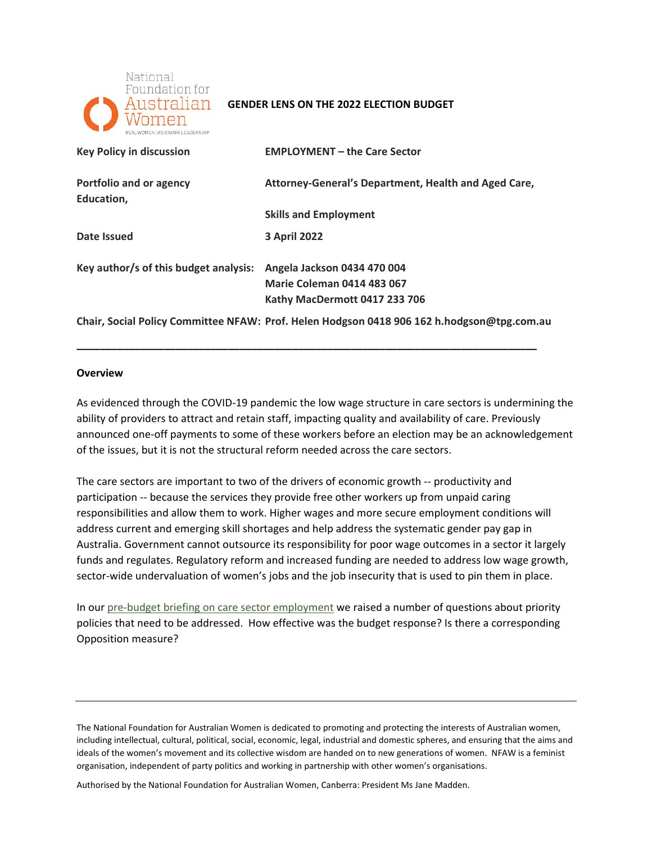

### **GENDER LENS ON THE 2022 ELECTION BUDGET**

| <b>Key Policy in discussion</b>       | <b>EMPLOYMENT - the Care Sector</b>                  |
|---------------------------------------|------------------------------------------------------|
| Portfolio and or agency<br>Education, | Attorney-General's Department, Health and Aged Care, |
|                                       | <b>Skills and Employment</b>                         |
| Date Issued                           | <b>3 April 2022</b>                                  |
| Key author/s of this budget analysis: | Angela Jackson 0434 470 004                          |
|                                       | <b>Marie Coleman 0414 483 067</b>                    |
|                                       | Kathy MacDermott 0417 233 706                        |

**Chair, Social Policy Committee NFAW: Prof. Helen Hodgson 0418 906 162 [h.hodgson@tpg.com.au](mailto:h.hodgson@tpg.com.au)** 

**\_\_\_\_\_\_\_\_\_\_\_\_\_\_\_\_\_\_\_\_\_\_\_\_\_\_\_\_\_\_\_\_\_\_\_\_\_\_\_\_\_\_\_\_\_\_\_\_\_\_\_\_\_\_\_\_\_\_\_\_\_\_\_\_\_\_\_\_\_\_\_\_\_\_\_\_\_\_\_** 

#### **Overview**

 As evidenced through the COVID-19 pandemic the low wage structure in care sectors is undermining the ability of providers to attract and retain staff, impacting quality and availability of care. Previously announced one-off payments to some of these workers before an election may be an acknowledgement of the issues, but it is not the structural reform needed across the care sectors.

 The care sectors are important to two of the drivers of economic growth -- productivity and responsibilities and allow them to work. Higher wages and more secure employment conditions will address current and emerging skill shortages and help address the systematic gender pay gap in Australia. Government cannot outsource its responsibility for poor wage outcomes in a sector it largely sector-wide undervaluation of women's jobs and the job insecurity that is used to pin them in place. participation -- because the services they provide free other workers up from unpaid caring funds and regulates. Regulatory reform and increased funding are needed to address low wage growth,

 policies that need to be addressed. How effective was the budget response? Is there a corresponding In our [pre-budget briefing on care sector employment](https://nfaw.org/wp-content/uploads/2022/03/MEDIA-BRIEFING-Employment-Final.pdf) we raised a number of questions about priority Opposition measure?

Authorised by the National Foundation for Australian Women, Canberra: President Ms Jane Madden.

The National Foundation for Australian Women is dedicated to promoting and protecting the interests of Australian women, including intellectual, cultural, political, social, economic, legal, industrial and domestic spheres, and ensuring that the aims and ideals of the women's movement and its collective wisdom are handed on to new generations of women. NFAW is a feminist organisation, independent of party politics and working in partnership with other women's organisations.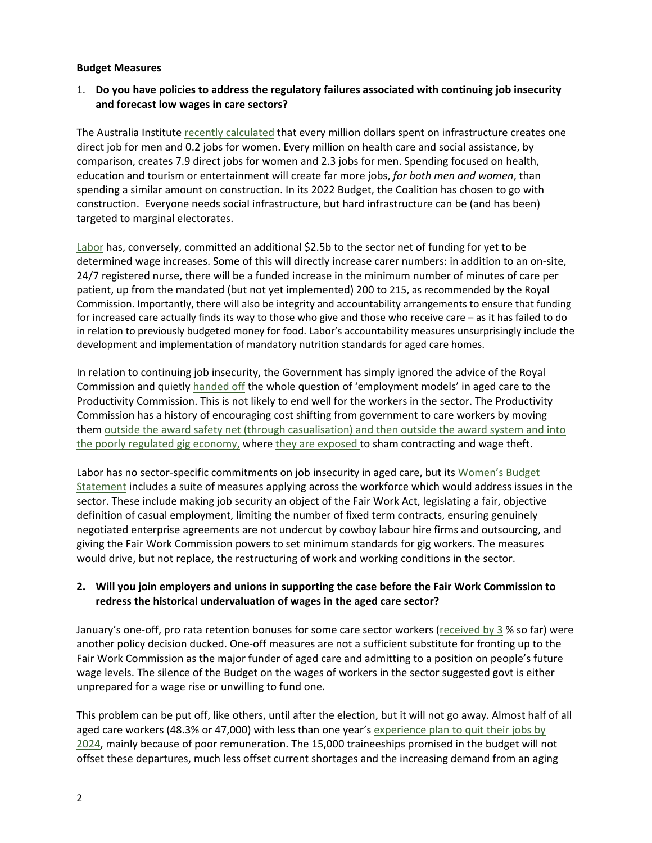#### **Budget Measures**

## 1. **Do you have policies to address the regulatory failures associated with continuing job insecurity and forecast low wages in care sectors?**

 direct job for men and 0.2 jobs for women. Every million on health care and social assistance, by construction. Everyone needs social infrastructure, but hard infrastructure can be (and has been) The Australia Institute [recently calculated](https://australiainstitute.org.au/wp-content/uploads/2020/12/Gender-experience-during-the-COVID-19-lockdown.pdf) that every million dollars spent on infrastructure creates one comparison, creates 7.9 direct jobs for women and 2.3 jobs for men. Spending focused on health, education and tourism or entertainment will create far more jobs, *for both men and women*, than spending a similar amount on construction. In its 2022 Budget, the Coalition has chosen to go with targeted to marginal electorates.

[Labor h](https://anthonyalbanese.com.au/media-centre/budget-reply-2022)as, conversely, committed an additional \$2.5b to the sector net of funding for yet to be 24/7 registered nurse, there will be a funded increase in the minimum number of minutes of care per patient, up from the mandated (but not yet implemented) 200 to 215, as recommended by the Royal Commission. Importantly, there will also be integrity and accountability arrangements to ensure that funding for increased care actually finds its way to those who give and those who receive care – as it has failed to do in relation to previously budgeted money for food. Labor's accountability measures unsurprisingly include the development and implementation of mandatory nutrition standards for aged care homes. determined wage increases. Some of this will directly increase carer numbers: in addition to an on-site,

 In relation to continuing job insecurity, the Government has simply ignored the advice of the Royal Commission and quietly [handed off t](https://www.pc.gov.au/inquiries/current/aged-care-employment#issues)he whole question of 'employment models' in aged care to the Productivity Commission. This is not likely to end well for the workers in the sector. The Productivity Commission has a history of encouraging cost shifting from government to care workers by moving them outside the award safety net (through casualisation) and then outside the award system and into [the poorly regulated gig economy, w](https://nfaw.org/policy-papers/the-impact-of-insecure-or-precarious-employment/)here [they are exposed](https://engage.vic.gov.au/inquiry-on-demand-workforce) to sham contracting and wage theft.

[Statement](https://alp-assets.s3.ap-southeast-2.amazonaws.com/documents/2022+Women) includes a suite of measures applying across the workforce which would address issues in the definition of casual employment, limiting the number of fixed term contracts, ensuring genuinely would drive, but not replace, the restructuring of work and working conditions in the sector. Labor has no sector-specific commitments on job insecurity in aged care, but its Women's Budget sector. These include making job security an object of the Fair Work Act, legislating a fair, objective negotiated enterprise agreements are not undercut by cowboy labour hire firms and outsourcing, and giving the Fair Work Commission powers to set minimum standards for gig workers. The measures

## **2. Will you join employers and unions in supporting the case before the Fair Work Commission to redress the historical undervaluation of wages in the aged care sector?**

 wage levels. The silence of the Budget on the wages of workers in the sector suggested govt is either January's one-off, pro rata retention bonuses for some care sector workers [\(received by 3](https://www.theguardian.com/australia-news/2022/mar/25/survey-finds-97-of-australias-aged-care-workers-have-not-received-800-bonus?CMP=Share_iOSApp_Other) % so far) were another policy decision ducked. One-off measures are not a sufficient substitute for fronting up to the Fair Work Commission as the major funder of aged care and admitting to a position on people's future unprepared for a wage rise or unwilling to fund one.

 This problem can be put off, like others, until after the election, but it will not go away. Almost half of all aged care workers (48.3% or 47,000) with less than one year's **experience plan to quit their jobs by** [2024,](https://www.agedcareessentials.com.au/news/looming-aged-care-staffing-crisis-summary-of-the-latest-workforce-report) mainly because of poor remuneration. The 15,000 traineeships promised in the budget will not offset these departures, much less offset current shortages and the increasing demand from an aging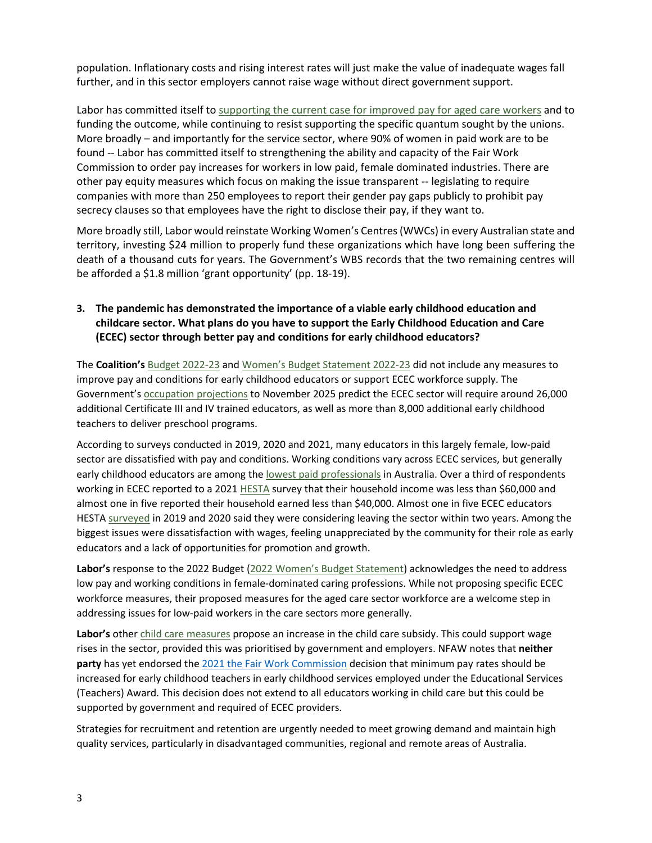further, and in this sector employers cannot raise wage without direct government support. population. Inflationary costs and rising interest rates will just make the value of inadequate wages fall

 funding the outcome, while continuing to resist supporting the specific quantum sought by the unions. found -- Labor has committed itself to strengthening the ability and capacity of the Fair Work companies with more than 250 employees to report their gender pay gaps publicly to prohibit pay Labor has committed itself t[o supporting the current case for improved pay for aged care workers](https://alp-assets.s3.ap-southeast-2.amazonaws.com/documents/2022+Women) and to More broadly – and importantly for the service sector, where 90% of women in paid work are to be Commission to order pay increases for workers in low paid, female dominated industries. There are other pay equity measures which focus on making the issue transparent -- legislating to require secrecy clauses so that employees have the right to disclose their pay, if they want to.

 More broadly still, Labor would reinstate Working Women's Centres (WWCs) in every Australian state and territory, investing \$24 million to properly fund these organizations which have long been suffering the death of a thousand cuts for years. The Government's WBS records that the two remaining centres will be afforded a \$1.8 million 'grant opportunity' (pp. 18-19).

# **3. The pandemic has demonstrated the importance of a viable early childhood education and childcare sector. What plans do you have to support the Early Childhood Education and Care (ECEC) sector through better pay and conditions for early childhood educators?**

 The **Coalition's** [Budget 2022-23 a](https://budget.gov.au/2022-23/content/documents.htm)n[d Women's Budget Statement 2022-23 d](https://budget.gov.au/2022-23/content/womens-statement/download/womens_budget_statement_2022-23.pdf)id not include any measures to improve pay and conditions for early childhood educators or support ECEC workforce supply. The Government's **occupation projections** to November 2025 predict the ECEC sector will require around 26,000 additional Certificate III and IV trained educators, as well as more than 8,000 additional early childhood teachers to deliver preschool programs.

 According to surveys conducted in 2019, 2020 and 2021, many educators in this largely female, low-paid early childhood educators are among the [lowest paid professionals](https://cpd.org.au/wp-content/uploads/2021/11/CPD-Starting-Better-Report.pdf) in Australia. Over a third of respondents working in ECEC reported to a 202[1 HESTA s](https://www.hesta.com.au/ECECreport21)urvey that their household income was less than \$60,000 and almost one in five reported their household earned less than \$40,000. Almost one in five ECEC educators HESTA [surveyed](https://thesector.com.au/2021/08/19/nearly-half-of-ececs-current-educators-wouldnt-want-others-to-follow-their-lead-hesta-survey/) in 2019 and 2020 said they were considering leaving the sector within two years. Among the biggest issues were dissatisfaction with wages, feeling unappreciated by the community for their role as early sector are dissatisfied with pay and conditions. Working conditions vary across ECEC services, but generally educators and a lack of opportunities for promotion and growth.

 **Labor's** response to the 2022 Budget [\(2022 Women's Budget Statement\)](https://alp-assets.s3.ap-southeast-2.amazonaws.com/documents/2022+Women) acknowledges the need to address low pay and working conditions in female-dominated caring professions. While not proposing specific ECEC workforce measures, their proposed measures for the aged care sector workforce are a welcome step in addressing issues for low-paid workers in the care sectors more generally.

Labor's other *child care measures* propose an increase in the child care subsidy. This could support wage rises in the sector, provided this was prioritised by government and employers. NFAW notes that **neither party** has yet endorsed th[e 2021 the Fair Work Commission](https://www.fwc.gov.au/documents/documents/summaries/2021fwcfb2051-summary.pdf) decision that minimum pay rates should be increased for early childhood teachers in early childhood services employed under the Educational Services (Teachers) Award. This decision does not extend to all educators working in child care but this could be supported by government and required of ECEC providers.

 Strategies for recruitment and retention are urgently needed to meet growing demand and maintain high quality services, particularly in disadvantaged communities, regional and remote areas of Australia.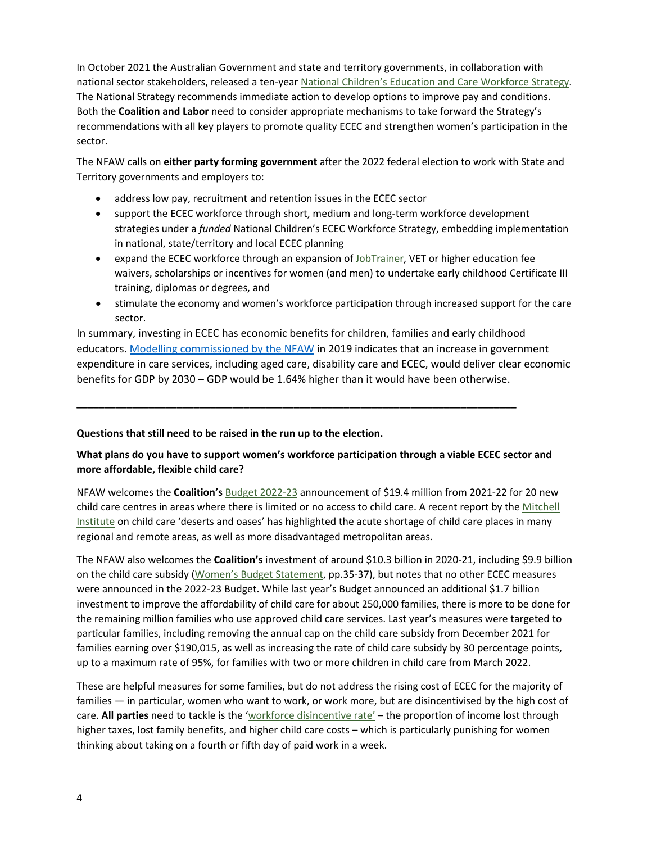In October 2021 the Australian Government and state and territory governments, in collaboration with national sector stakeholders, released a ten-yea[r National Children's Education and Care Workforce Strategy.](https://www.acecqa.gov.au/national-workforce-strategy) The National Strategy recommends immediate action to develop options to improve pay and conditions. Both the **Coalition and Labor** need to consider appropriate mechanisms to take forward the Strategy's recommendations with all key players to promote quality ECEC and strengthen women's participation in the sector.

sector.<br>The NFAW calls on **either party forming government** after the 2022 federal election to work with State and Territory governments and employers to:

- address low pay, recruitment and retention issues in the ECEC sector
- • support the ECEC workforce through short, medium and long-term workforce development strategies under a *funded* National Children's ECEC Workforce Strategy, embedding implementation in national, state/territory and local ECEC planning
- expand the ECEC workforce through an expansion of [JobTrainer,](https://www.dese.gov.au/skills-reform/jobtrainer-fund) VET or higher education fee waivers, scholarships or incentives for women (and men) to undertake early childhood Certificate III training, diplomas or degrees, and
- • stimulate the economy and women's workforce participation through increased support for the care sector.

 In summary, investing in ECEC has economic benefits for children, families and early childhood educators. [Modelling commissioned by the NFAW i](https://nfaw.org/wp-content/uploads/2020/10/Appendix-A.pdf)n 2019 indicates that an increase in government expenditure in care services, including aged care, disability care and ECEC, would deliver clear economic benefits for GDP by 2030 – GDP would be 1.64% higher than it would have been otherwise.

## **Questions that still need to be raised in the run up to the election.**

## **What plans do you have to support women's workforce participation through a viable ECEC sector and more affordable, flexible child care?**

**\_\_\_\_\_\_\_\_\_\_\_\_\_\_\_\_\_\_\_\_\_\_\_\_\_\_\_\_\_\_\_\_\_\_\_\_\_\_\_\_\_\_\_\_\_\_\_\_\_\_\_\_\_\_\_\_\_\_\_\_\_\_\_\_\_\_\_\_\_\_\_\_\_\_\_\_\_\_\_** 

 NFAW welcomes the **Coalition's** [Budget 2022-23 a](https://budget.gov.au/2022-23/content/womens-statement/download/womens_budget_statement_2022-23.pdf)nnouncement of \$19.4 million from 2021-22 for 20 new child care centres in areas where there is limited or no access to child care. A recent report by the Mitchell [Institute](https://www.vu.edu.au/mitchell-institute/early-learning/childcare-deserts-oases-how-accessible-is-childcare-in-australia) on child care 'deserts and oases' has highlighted the acute shortage of child care places in many regional and remote areas, as well as more disadvantaged metropolitan areas.

 The NFAW also welcomes the **Coalition's** investment of around \$10.3 billion in 2020-21, including \$9.9 billion on the child care subsidy [\(Women's Budget Statement,](https://budget.gov.au/2022-23/content/womens-statement/download/womens_budget_statement_2022-23.pdf) pp.35-37), but notes that no other ECEC measures were announced in the 2022-23 Budget. While last year's Budget announced an additional \$1.7 billion investment to improve the affordability of child care for about 250,000 families, there is more to be done for the remaining million families who use approved child care services. Last year's measures were targeted to families earning over \$190,015, as well as increasing the rate of child care subsidy by 30 percentage points, up to a maximum rate of 95%, for families with two or more children in child care from March 2022. particular families, including removing the annual cap on the child care subsidy from December 2021 for

 These are helpful measures for some families, but do not address the rising cost of ECEC for the majority of families — in particular, women who want to work, or work more, but are disincentivised by the high cost of care. **All parties** need to tackle is the ['workforce disincentive rate' –](https://grattan.edu.au/report/cheaper-childcare/) the proportion of income lost through higher taxes, lost family benefits, and higher child care costs – which is particularly punishing for women thinking about taking on a fourth or fifth day of paid work in a week.